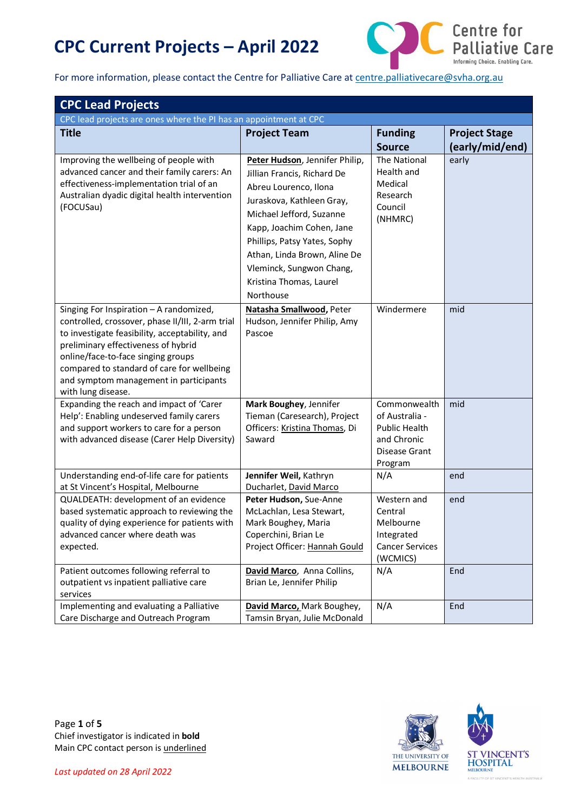

For more information, please contact the Centre for Palliative Care a[t centre.palliativecare@svha.org.au](mailto:centre.palliativecare@svha.org.au)

| <b>CPC Lead Projects</b>                                          |                                                          |                        |                      |
|-------------------------------------------------------------------|----------------------------------------------------------|------------------------|----------------------|
| CPC lead projects are ones where the PI has an appointment at CPC |                                                          |                        |                      |
| <b>Title</b>                                                      | <b>Project Team</b>                                      | <b>Funding</b>         | <b>Project Stage</b> |
|                                                                   |                                                          | <b>Source</b>          | (early/mid/end)      |
| Improving the wellbeing of people with                            | Peter Hudson, Jennifer Philip,                           | The National           | early                |
| advanced cancer and their family carers: An                       | Jillian Francis, Richard De                              | Health and             |                      |
| effectiveness-implementation trial of an                          | Abreu Lourenco, Ilona                                    | Medical                |                      |
| Australian dyadic digital health intervention                     | Juraskova, Kathleen Gray,                                | Research               |                      |
| (FOCUSau)                                                         | Michael Jefford, Suzanne                                 | Council                |                      |
|                                                                   | Kapp, Joachim Cohen, Jane                                | (NHMRC)                |                      |
|                                                                   | Phillips, Patsy Yates, Sophy                             |                        |                      |
|                                                                   | Athan, Linda Brown, Aline De                             |                        |                      |
|                                                                   | Vleminck, Sungwon Chang,                                 |                        |                      |
|                                                                   | Kristina Thomas, Laurel                                  |                        |                      |
|                                                                   | Northouse                                                |                        |                      |
| Singing For Inspiration - A randomized,                           |                                                          | Windermere             | mid                  |
| controlled, crossover, phase II/III, 2-arm trial                  | Natasha Smallwood, Peter<br>Hudson, Jennifer Philip, Amy |                        |                      |
| to investigate feasibility, acceptability, and                    | Pascoe                                                   |                        |                      |
| preliminary effectiveness of hybrid                               |                                                          |                        |                      |
| online/face-to-face singing groups                                |                                                          |                        |                      |
| compared to standard of care for wellbeing                        |                                                          |                        |                      |
| and symptom management in participants                            |                                                          |                        |                      |
| with lung disease.                                                |                                                          |                        |                      |
| Expanding the reach and impact of 'Carer                          | Mark Boughey, Jennifer                                   | Commonwealth           | mid                  |
| Help': Enabling undeserved family carers                          | Tieman (Caresearch), Project                             | of Australia -         |                      |
| and support workers to care for a person                          | Officers: Kristina Thomas, Di                            | <b>Public Health</b>   |                      |
| with advanced disease (Carer Help Diversity)                      | Saward                                                   | and Chronic            |                      |
|                                                                   |                                                          | Disease Grant          |                      |
| Understanding end-of-life care for patients                       |                                                          | Program                |                      |
| at St Vincent's Hospital, Melbourne                               | Jennifer Weil, Kathryn<br>Ducharlet, David Marco         | N/A                    | end                  |
| QUALDEATH: development of an evidence                             | Peter Hudson, Sue-Anne                                   | Western and            | end                  |
| based systematic approach to reviewing the                        | McLachlan, Lesa Stewart,                                 | Central                |                      |
| quality of dying experience for patients with                     | Mark Boughey, Maria                                      | Melbourne              |                      |
| advanced cancer where death was                                   | Coperchini, Brian Le                                     | Integrated             |                      |
| expected.                                                         | Project Officer: Hannah Gould                            | <b>Cancer Services</b> |                      |
|                                                                   |                                                          | (WCMICS)               |                      |
| Patient outcomes following referral to                            | David Marco, Anna Collins,                               | N/A                    | End                  |
| outpatient vs inpatient palliative care                           | Brian Le, Jennifer Philip                                |                        |                      |
| services                                                          |                                                          |                        |                      |
| Implementing and evaluating a Palliative                          | David Marco, Mark Boughey,                               | N/A                    | End                  |
| Care Discharge and Outreach Program                               | Tamsin Bryan, Julie McDonald                             |                        |                      |

Page **1** of **5**  Chief investigator is indicated in **bold** Main CPC contact person is underlined

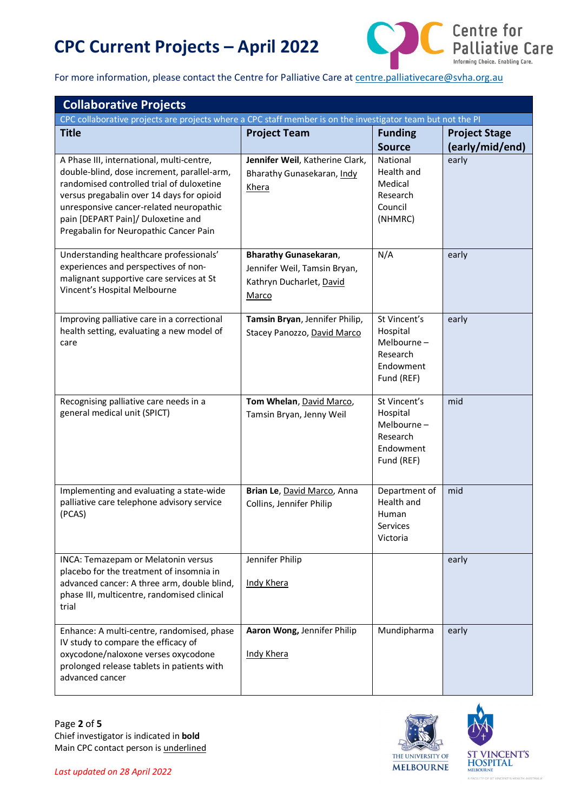

For more information, please contact the Centre for Palliative Care a[t centre.palliativecare@svha.org.au](mailto:centre.palliativecare@svha.org.au)

| <b>Collaborative Projects</b>                                                                                                                                                                                                                                                                                 |                                                                                                   |                                                                               |                                         |
|---------------------------------------------------------------------------------------------------------------------------------------------------------------------------------------------------------------------------------------------------------------------------------------------------------------|---------------------------------------------------------------------------------------------------|-------------------------------------------------------------------------------|-----------------------------------------|
| CPC collaborative projects are projects where a CPC staff member is on the investigator team but not the PI                                                                                                                                                                                                   |                                                                                                   |                                                                               |                                         |
| <b>Title</b>                                                                                                                                                                                                                                                                                                  | <b>Project Team</b>                                                                               | <b>Funding</b><br><b>Source</b>                                               | <b>Project Stage</b><br>(early/mid/end) |
| A Phase III, international, multi-centre,<br>double-blind, dose increment, parallel-arm,<br>randomised controlled trial of duloxetine<br>versus pregabalin over 14 days for opioid<br>unresponsive cancer-related neuropathic<br>pain [DEPART Pain]/ Duloxetine and<br>Pregabalin for Neuropathic Cancer Pain | Jennifer Weil, Katherine Clark,<br>Bharathy Gunasekaran, Indy<br>Khera                            | National<br>Health and<br>Medical<br>Research<br>Council<br>(NHMRC)           | early                                   |
| Understanding healthcare professionals'<br>experiences and perspectives of non-<br>malignant supportive care services at St<br>Vincent's Hospital Melbourne                                                                                                                                                   | <b>Bharathy Gunasekaran,</b><br>Jennifer Weil, Tamsin Bryan,<br>Kathryn Ducharlet, David<br>Marco | N/A                                                                           | early                                   |
| Improving palliative care in a correctional<br>health setting, evaluating a new model of<br>care                                                                                                                                                                                                              | Tamsin Bryan, Jennifer Philip,<br>Stacey Panozzo, David Marco                                     | St Vincent's<br>Hospital<br>Melbourne-<br>Research<br>Endowment<br>Fund (REF) | early                                   |
| Recognising palliative care needs in a<br>general medical unit (SPICT)                                                                                                                                                                                                                                        | Tom Whelan, David Marco,<br>Tamsin Bryan, Jenny Weil                                              | St Vincent's<br>Hospital<br>Melbourne-<br>Research<br>Endowment<br>Fund (REF) | mid                                     |
| Implementing and evaluating a state-wide<br>palliative care telephone advisory service<br>(PCAS)                                                                                                                                                                                                              | Brian Le, David Marco, Anna<br>Collins, Jennifer Philip                                           | Department of<br>Health and<br>Human<br>Services<br>Victoria                  | mid                                     |
| INCA: Temazepam or Melatonin versus<br>placebo for the treatment of insomnia in<br>advanced cancer: A three arm, double blind,<br>phase III, multicentre, randomised clinical<br>trial                                                                                                                        | Jennifer Philip<br>Indy Khera                                                                     |                                                                               | early                                   |
| Enhance: A multi-centre, randomised, phase<br>IV study to compare the efficacy of<br>oxycodone/naloxone verses oxycodone<br>prolonged release tablets in patients with<br>advanced cancer                                                                                                                     | Aaron Wong, Jennifer Philip<br><b>Indy Khera</b>                                                  | Mundipharma                                                                   | early                                   |

Page **2** of **5** Chief investigator is indicated in **bold** Main CPC contact person is underlined





S HEALTH ALLS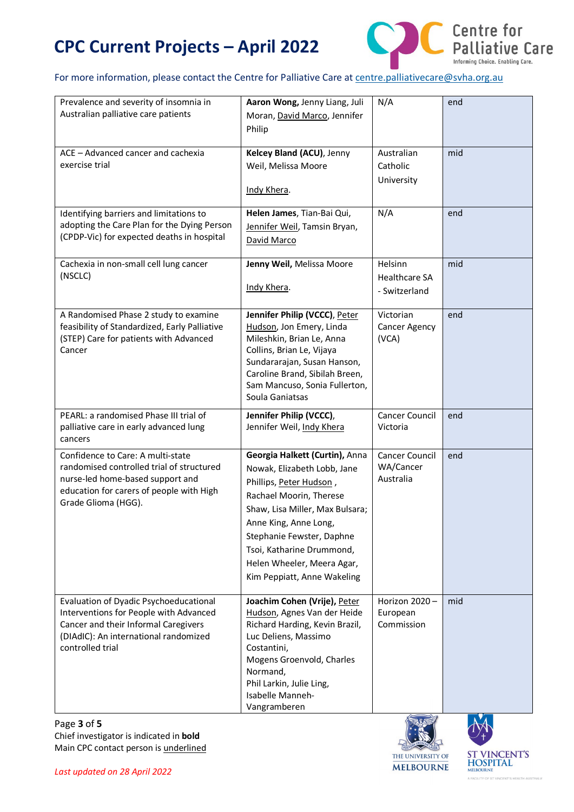

#### For more information, please contact the Centre for Palliative Care a[t centre.palliativecare@svha.org.au](mailto:centre.palliativecare@svha.org.au)

| Prevalence and severity of insomnia in<br>Australian palliative care patients                                                                                                         | Aaron Wong, Jenny Liang, Juli<br>Moran, David Marco, Jennifer<br>Philip                                                                                                                                                                                                                                | N/A                                              | end |
|---------------------------------------------------------------------------------------------------------------------------------------------------------------------------------------|--------------------------------------------------------------------------------------------------------------------------------------------------------------------------------------------------------------------------------------------------------------------------------------------------------|--------------------------------------------------|-----|
| ACE - Advanced cancer and cachexia<br>exercise trial                                                                                                                                  | Kelcey Bland (ACU), Jenny<br>Weil, Melissa Moore<br>Indy Khera.                                                                                                                                                                                                                                        | Australian<br>Catholic<br>University             | mid |
| Identifying barriers and limitations to<br>adopting the Care Plan for the Dying Person<br>(CPDP-Vic) for expected deaths in hospital                                                  | Helen James, Tian-Bai Qui,<br>Jennifer Weil, Tamsin Bryan,<br>David Marco                                                                                                                                                                                                                              | N/A                                              | end |
| Cachexia in non-small cell lung cancer<br>(NSCLC)                                                                                                                                     | Jenny Weil, Melissa Moore<br>Indy Khera.                                                                                                                                                                                                                                                               | Helsinn<br><b>Healthcare SA</b><br>- Switzerland | mid |
| A Randomised Phase 2 study to examine<br>feasibility of Standardized, Early Palliative<br>(STEP) Care for patients with Advanced<br>Cancer                                            | Jennifer Philip (VCCC), Peter<br>Hudson, Jon Emery, Linda<br>Mileshkin, Brian Le, Anna<br>Collins, Brian Le, Vijaya<br>Sundararajan, Susan Hanson,<br>Caroline Brand, Sibilah Breen,<br>Sam Mancuso, Sonia Fullerton,<br>Soula Ganiatsas                                                               | Victorian<br>Cancer Agency<br>(VCA)              | end |
| PEARL: a randomised Phase III trial of<br>palliative care in early advanced lung<br>cancers                                                                                           | Jennifer Philip (VCCC),<br>Jennifer Weil, Indy Khera                                                                                                                                                                                                                                                   | <b>Cancer Council</b><br>Victoria                | end |
| Confidence to Care: A multi-state<br>randomised controlled trial of structured<br>nurse-led home-based support and<br>education for carers of people with High<br>Grade Glioma (HGG). | Georgia Halkett (Curtin), Anna<br>Nowak, Elizabeth Lobb, Jane<br>Phillips, Peter Hudson,<br>Rachael Moorin, Therese<br>Shaw, Lisa Miller, Max Bulsara;<br>Anne King, Anne Long,<br>Stephanie Fewster, Daphne<br>Tsoi, Katharine Drummond,<br>Helen Wheeler, Meera Agar,<br>Kim Peppiatt, Anne Wakeling | Cancer Council<br>WA/Cancer<br>Australia         | end |
| Evaluation of Dyadic Psychoeducational<br>Interventions for People with Advanced<br>Cancer and their Informal Caregivers<br>(DIAdIC): An international randomized<br>controlled trial | Joachim Cohen (Vrije), Peter<br>Hudson, Agnes Van der Heide<br>Richard Harding, Kevin Brazil,<br>Luc Deliens, Massimo<br>Costantini,<br>Mogens Groenvold, Charles<br>Normand,<br>Phil Larkin, Julie Ling,<br>Isabelle Manneh-<br>Vangramberen                                                          | Horizon 2020-<br>European<br>Commission          | mid |

Page **3** of **5** Chief investigator is indicated in **bold** Main CPC contact person is underlined





T'S HEALTH AUSTRALIA

A FACILITY OF ST.V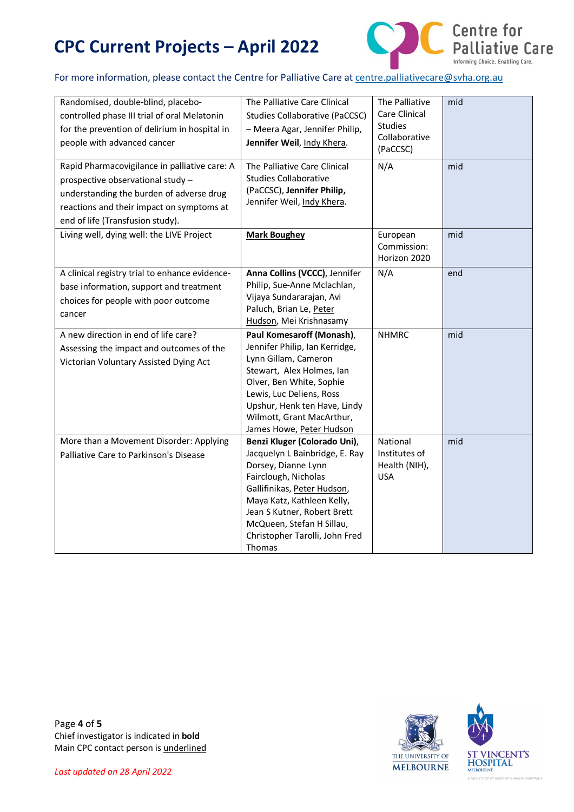

#### For more information, please contact the Centre for Palliative Care a[t centre.palliativecare@svha.org.au](mailto:centre.palliativecare@svha.org.au)

| Randomised, double-blind, placebo-<br>controlled phase III trial of oral Melatonin<br>for the prevention of delirium in hospital in<br>people with advanced cancer                                              | The Palliative Care Clinical<br><b>Studies Collaborative (PaCCSC)</b><br>- Meera Agar, Jennifer Philip,<br>Jennifer Weil, Indy Khera.                                                                                                                                                     | The Palliative<br>Care Clinical<br><b>Studies</b><br>Collaborative<br>(PaCCSC) | mid |
|-----------------------------------------------------------------------------------------------------------------------------------------------------------------------------------------------------------------|-------------------------------------------------------------------------------------------------------------------------------------------------------------------------------------------------------------------------------------------------------------------------------------------|--------------------------------------------------------------------------------|-----|
| Rapid Pharmacovigilance in palliative care: A<br>prospective observational study -<br>understanding the burden of adverse drug<br>reactions and their impact on symptoms at<br>end of life (Transfusion study). | The Palliative Care Clinical<br><b>Studies Collaborative</b><br>(PaCCSC), Jennifer Philip,<br>Jennifer Weil, Indy Khera.                                                                                                                                                                  | N/A                                                                            | mid |
| Living well, dying well: the LIVE Project                                                                                                                                                                       | <b>Mark Boughey</b>                                                                                                                                                                                                                                                                       | European<br>Commission:<br>Horizon 2020                                        | mid |
| A clinical registry trial to enhance evidence-<br>base information, support and treatment<br>choices for people with poor outcome<br>cancer                                                                     | Anna Collins (VCCC), Jennifer<br>Philip, Sue-Anne Mclachlan,<br>Vijaya Sundararajan, Avi<br>Paluch, Brian Le, Peter<br>Hudson, Mei Krishnasamy                                                                                                                                            | N/A                                                                            | end |
| A new direction in end of life care?<br>Assessing the impact and outcomes of the<br>Victorian Voluntary Assisted Dying Act                                                                                      | Paul Komesaroff (Monash),<br>Jennifer Philip, Ian Kerridge,<br>Lynn Gillam, Cameron<br>Stewart, Alex Holmes, Ian<br>Olver, Ben White, Sophie<br>Lewis, Luc Deliens, Ross<br>Upshur, Henk ten Have, Lindy<br>Wilmott, Grant MacArthur,<br>James Howe, Peter Hudson                         | <b>NHMRC</b>                                                                   | mid |
| More than a Movement Disorder: Applying<br>Palliative Care to Parkinson's Disease                                                                                                                               | Benzi Kluger (Colorado Uni),<br>Jacquelyn L Bainbridge, E. Ray<br>Dorsey, Dianne Lynn<br>Fairclough, Nicholas<br>Gallifinikas, Peter Hudson,<br>Maya Katz, Kathleen Kelly,<br>Jean S Kutner, Robert Brett<br>McQueen, Stefan H Sillau,<br>Christopher Tarolli, John Fred<br><b>Thomas</b> | National<br>Institutes of<br>Health (NIH),<br><b>USA</b>                       | mid |

Page **4** of **5** Chief investigator is indicated in **bold** Main CPC contact person is underlined